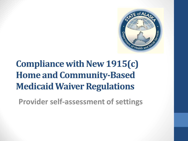

# **Compliance with New 1915(c) Home and Community-Based Medicaid Waiver Regulations**

**Provider self-assessment of settings**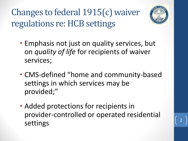Changes to federal 1915(c) waiver regulations re: HCB settings



- Emphasis not just on quality services, but on *quality of life* for recipients of waiver services;
- CMS-defined "home and community-based settings in which services may be provided;"
- Added protections for recipients in provider-controlled or operated residential settings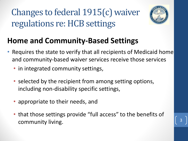Changes to federal 1915(c) waiver regulations re: HCB settings



#### **Home and Community-Based Settings**

- Requires the state to verify that all recipients of Medicaid home and community-based waiver services receive those services
	- in integrated community settings,
	- selected by the recipient from among setting options, including non-disability specific settings,
	- appropriate to their needs, and
	- that those settings provide "full access" to the benefits of community living.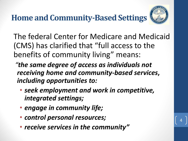**Home and Community-Based Settings**



4

The federal Center for Medicare and Medicaid (CMS) has clarified that "full access to the benefits of community living" means:

*"the same degree of access as individuals not receiving home and community-based services***,**  *including opportunities to:* 

- *seek employment and work in competitive, integrated settings;*
- *engage in community life;*
- *control personal resources;*
- *receive services in the community"*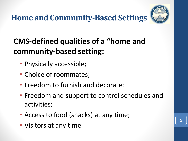**Home and Community-Based Settings**



5

#### **CMS-defined qualities of a "home and community-based setting:**

- Physically accessible;
- Choice of roommates;
- Freedom to furnish and decorate;
- Freedom and support to control schedules and activities;
- Access to food (snacks) at any time;
- Visitors at any time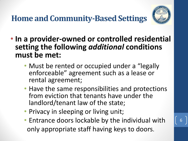**Home and Community-Based Settings**



- **In a provider-owned or controlled residential setting the following** *additional* **conditions must be met:**
	- Must be rented or occupied under a "legally" enforceable" agreement such as a lease or rental agreement;
	- Have the same responsibilities and protections from eviction that tenants have under the landlord/tenant law of the state;
	- Privacy in sleeping or living unit;
	- Entrance doors lockable by the individual with only appropriate staff having keys to doors.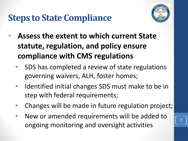## **Steps to State Compliance**



- **Assess the extent to which current State statute, regulation, and policy ensure compliance with CMS regulations**
	- SDS has completed a review of state regulations governing waivers, ALH, foster homes;
	- Identified initial changes SDS must make to be in step with federal requirements;
	- Changes will be made in future regulation project;
	- New or amended requirements will be added to ongoing monitoring and oversight activities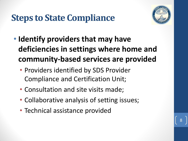### **Steps to State Compliance**



- **Identify providers that may have deficiencies in settings where home and community-based services are provided**
	- Providers identified by SDS Provider Compliance and Certification Unit;
	- Consultation and site visits made;
	- Collaborative analysis of setting issues;
	- Technical assistance provided